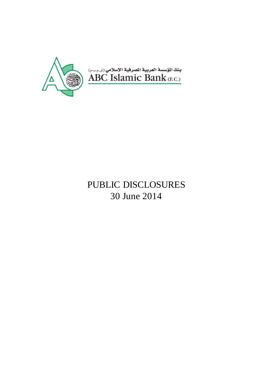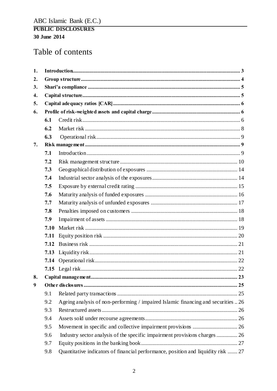# Table of contents

| 1. |      |                                                                                   |  |
|----|------|-----------------------------------------------------------------------------------|--|
| 2. |      |                                                                                   |  |
| 3. |      |                                                                                   |  |
| 4. |      |                                                                                   |  |
| 5. |      |                                                                                   |  |
| 6. |      |                                                                                   |  |
|    | 6.1  |                                                                                   |  |
|    | 6.2  |                                                                                   |  |
|    | 6.3  |                                                                                   |  |
| 7. |      |                                                                                   |  |
|    | 7.1  |                                                                                   |  |
|    | 7.2  |                                                                                   |  |
|    | 7.3  |                                                                                   |  |
|    | 7.4  |                                                                                   |  |
|    | 7.5  |                                                                                   |  |
|    | 7.6  |                                                                                   |  |
|    | 7.7  |                                                                                   |  |
|    | 7.8  |                                                                                   |  |
|    | 7.9  |                                                                                   |  |
|    | 7.10 |                                                                                   |  |
|    | 7.11 |                                                                                   |  |
|    | 7.12 |                                                                                   |  |
|    | 7.13 |                                                                                   |  |
|    | 7.14 |                                                                                   |  |
|    |      |                                                                                   |  |
| 8. |      |                                                                                   |  |
| 9  |      |                                                                                   |  |
|    | 9.1  |                                                                                   |  |
|    | 9.2  | Ageing analysis of non-performing / impaired Islamic financing and securities  26 |  |
|    | 9.3  |                                                                                   |  |
|    | 9.4  |                                                                                   |  |
|    | 9.5  |                                                                                   |  |
|    | 9.6  |                                                                                   |  |
|    | 9.7  |                                                                                   |  |
|    | 9.8  | Quantitative indicators of financial performance, position and liquidity risk  27 |  |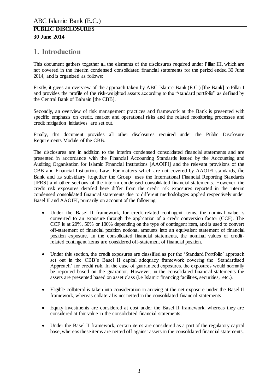# <span id="page-2-0"></span>**1. Introduction**

This document gathers together all the elements of the disclosures required under Pillar III, which are not covered in the interim condensed consolidated financial statements for the period ended 30 June 2014, and is organized as follows:

Firstly, it gives an overview of the approach taken by ABC Islamic Bank (E.C.) [the Bank] to Pillar I and provides the profile of the risk-weighted assets according to the "standard portfolio" as defined by the Central Bank of Bahrain [the CBB].

Secondly, an overview of risk management practices and framework at the Bank is presented with specific emphasis on credit, market and operational risks and the related monitoring processes and credit mitigation initiatives are set out.

Finally, this document provides all other disclosures required under the Public Disclosure Requirements Module of the CBB.

The disclosures are in addition to the interim condensed consolidated financial statements and are presented in accordance with the Financial Accounting Standards issued by the Accounting and Auditing Organisation for Islamic Financial Institutions [AAOIFI] and the relevant provisions of the CBB and Financial Institutions Law. For matters which are not covered by AAOIFI standards, the Bank and its subsidiary [together the Group] uses the International Financial Reporting Standards [IFRS] and other sections of the interim condensed consolidated financial statements. However, the credit risk exposures detailed here differ from the credit risk exposures reported in the interim condensed consolidated financial statements due to different methodologies applied respectively under Basel II and AAOIFI, primarily on account of the following:

- Under the Basel II framework, for credit-related contingent items, the nominal value is converted to an exposure through the application of a credit conversion factor (CCF). The CCF is at 20%, 50% or 100% depending on the type of contingent item, and is used to convert off-statement of financial position notional amounts into an equivalent statement of financial position exposure. In the consolidated financial statements, the nominal values of creditrelated contingent items are considered off-statement of financial position.
- Under this section, the credit exposures are classified as per the 'Standard Portfolio' approach set out in the CBB's Basel II capital adequacy framework covering the 'Standardised Approach' for credit risk. In the case of guaranteed exposures, the exposures would normally be reported based on the guarantor. However, in the consolidated financial statements the assets are presented based on asset class (i.e Islamic financing facilities, securities, etc.).
- Eligible collateral is taken into consideration in arriving at the net exposure under the Basel II framework, whereas collateral is not netted in the consolidated financial statements.
- Equity investments are considered at cost under the Basel II framework, whereas they are considered at fair value in the consolidated financial statements.
- Under the Basel II framework, certain items are considered as a part of the regulatory capital base, whereas these items are netted off against assets in the consolidated financial statements.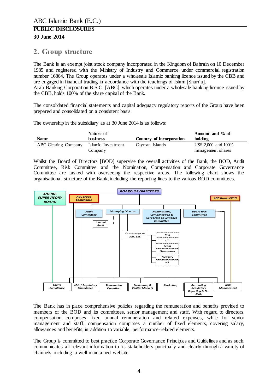# <span id="page-3-0"></span>**2. Group structure**

The Bank is an exempt joint stock company incorporated in the Kingdom of Bahrain on 10 December 1985 and registered with the Ministry of Industry and Commerce under commercial registration number 16864. The Group operates under a wholesale Islamic banking licence issued by the CBB and are engaged in financial trading in accordance with the teachings of Islam [Shari'a].

Arab Banking Corporation B.S.C. [ABC], which operates under a wholesale banking licence issued by the CBB, holds 100% of the share capital of the Bank.

The consolidated financial statements and capital adequacy regulatory reports of the Group have been prepared and consolidated on a consistent basis.

The ownership in the subsidiary as at 30 June 2014 is as follows:

|                      | Nature of          |                          | Amount and % of     |
|----------------------|--------------------|--------------------------|---------------------|
| <b>Name</b>          | <b>business</b>    | Country of incorporation | holding             |
| ABC Clearing Company | Islamic Investment | Cayman Islands           | US\$ 2,000 and 100% |
|                      | Company            |                          | management shares   |

Whilst the Board of Directors [BOD] supervise the overall activities of the Bank, the BOD, Audit Committee, Risk Committee and the Nomination, Compensation and Corporate Governance Committee are tasked with overseeing the respective areas. The following chart shows the organisational structure of the Bank, including the reporting lines to the various BOD committees.



The Bank has in place comprehensive policies regarding the remuneration and benefits provided to members of the BOD and its committees, senior management and staff. With regard to directors, compensation comprises fixed annual remuneration and related expenses, while for senior management and staff, compensation comprises a number of fixed elements, covering salary, allowances and benefits, in addition to variable, performance-related elements.

The Group is committed to best practice Corporate Governance Principles and Guidelines and as such, communicates all relevant information to its stakeholders punctually and clearly through a variety of channels, including a well-maintained website.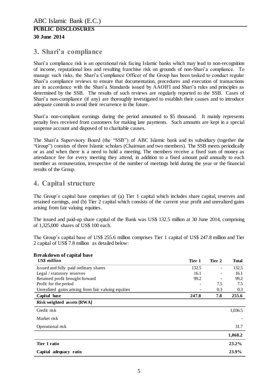# <span id="page-4-0"></span>**3. Shari'a compliance**

Shari'a compliance risk is an operational risk facing Islamic banks which may lead to non-recognition of income, reputational loss and resulting franchise risk on grounds of non-Shari'a compliance. To manage such risks, the Shari'a Compliance Officer of the Group has been tasked to conduct regular Shari'a compliance reviews to ensure that documentation, procedures and execution of transactions are in accordance with the Shari'a Standards issued by AAOIFI and Shari'a rules and principles as determined by the SSB. The results of such reviews are regularly reported to the SSB. Cases of Shari'a non-compliance (if any) are thoroughly investigated to establish their causes and to introduce adequate controls to avoid their recurrence in the future.

Shari'a non-compliant earnings during the period amounted to \$5 thousand. It mainly represents penalty fees received from customers for making late payments. Such amounts are kept in a special suspense account and disposed of to charitable causes.

The Shari'a Supervisory Board (the "SSB") of ABC Islamic bank and its subsidiary (together the "Group") consists of three Islamic scholars (Chairman and two members). The SSB meets periodically or as and when there is a need to hold a meeting. The members receive a fixed sum of money as attendance fee for every meeting they attend, in addition to a fixed amount paid annually to each member as remuneration, irrespective of the number of meetings held during the year or the financial results of the Group.

# <span id="page-4-1"></span>**4. Capital structure**

The Group's capital base comprises of (a) Tier 1 capital which includes share capital, reserves and retained earnings, and (b) Tier 2 capital which consists of the current year profit and unrealized gains arising from fair valuing equities.

The issued and paid-up share capital of the Bank was US\$ 132.5 million at 30 June 2014, comprising of 1,325,000 shares of US\$ 100 each.

The Group's capital base of US\$ 255.6 million comprises Tier 1 capital of US\$ 247.8 million and Tier 2 capital of US\$ 7.8 million as detailed below:

| <b>Breakdown of capital base</b>                    |        |        |              |
|-----------------------------------------------------|--------|--------|--------------|
| US\$ million                                        | Tier 1 | Tier 2 | <b>Total</b> |
| Issued and fully paid ordinary shares               | 132.5  |        | 132.5        |
| Legal / statutory reserves                          | 16.1   |        | 16.1         |
| Retained profit brought forward                     | 99.2   |        | 99.2         |
| Profit for the period                               |        | 7.5    | 7.5          |
| Unrealized gains arising from fair valuing equities |        | 0.3    | 0.3          |
| Capital base                                        | 247.8  | 7.8    | 255.6        |
| Risk weighted assets [RWA]                          |        |        |              |
| Credit risk                                         |        |        | 1,036.5      |
| Market risk                                         |        |        |              |
| Operational risk                                    |        |        | 31.7         |
|                                                     |        |        | 1,068.2      |
| Tier 1 ratio                                        |        |        | $23.2\%$     |
| Capital adequacy ratio                              |        |        | 23.9%        |

5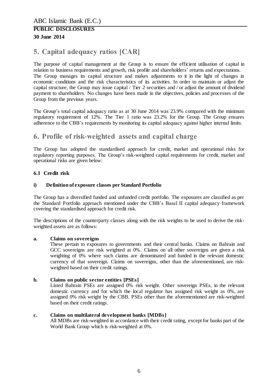# <span id="page-5-0"></span>**5. Capital adequacy ratios [CAR]**

The purpose of capital management at the Group is to ensure the efficient utilisation of capital in relation to business requirements and growth, risk profile and shareholders' returns and expectations. The Group manages its capital structure and makes adjustments to it in the light of changes in economic conditions and the risk characteristics of its activities. In order to maintain or adjust the capital structure, the Group may issue capital / Tier 2 securities and / or adjust the amount of dividend payment to shareholders. No changes have been made in the objectives, policies and processes of the Group from the previous years.

The Group's total capital adequacy ratio as at 30 June 2014 was 23.9% compared with the minimum regulatory requirement of 12%. The Tier 1 ratio was 23.2% for the Group. The Group ensures adherence to the CBB's requirements by monitoring its capital adequacy against higher internal limits.

# <span id="page-5-1"></span>**6. Profile of risk-weighted assets and capital charge**

The Group has adopted the standardised approach for credit, market and operational risks for regulatory reporting purposes. The Group's risk-weighted capital requirements for credit, market and operational risks are given below:

### <span id="page-5-2"></span>**6.1 Credit risk**

#### **i) Definition of exposure classes per Standard Portfolio**

The Group has a diversified funded and unfunded credit portfolio. The exposures are classified as per the Standard Portfolio approach mentioned under the CBB's Basel II capital adequacy framework covering the standardised approach for credit risk.

The descriptions of the counterparty classes along with the risk weights to be used to derive the riskweighted assets are as follows:

#### **a. Claims on sovereigns**

These pertain to exposures to governments and their central banks. Claims on Bahrain and GCC sovereigns are risk weighted at 0%. Claims on all other sovereigns are given a risk weighting of 0% where such claims are denominated and funded in the relevant domestic currency of that sovereign. Claims on sovereigns, other than the aforementioned, are riskweighted based on their credit ratings.

#### **b. Claims on public sector entities [PSEs]**

Listed Bahrain PSEs are assigned 0% risk weight. Other sovereign PSEs, in the relevant domestic currency and for which the local regulator has assigned risk weight as 0%, are assigned 0% risk weight by the CBB. PSEs other than the aforementioned are risk-weighted based on their credit ratings.

#### **c. Claims on multilateral development banks [MDBs]**

All MDBs are risk-weighted in accordance with their credit rating, except for banks part of the World Bank Group which is risk-weighted at 0%.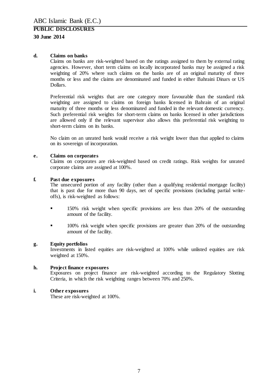#### **d. Claims on banks**

Claims on banks are risk-weighted based on the ratings assigned to them by external rating agencies. However, short term claims on locally incorporated banks may be assigned a risk weighting of 20% where such claims on the banks are of an original maturity of three months or less and the claims are denominated and funded in either Bahraini Dinars or US Dollars.

Preferential risk weights that are one category more favourable than the standard risk weighting are assigned to claims on foreign banks licensed in Bahrain of an original maturity of three months or less denominated and funded in the relevant domestic currency. Such preferential risk weights for short-term claims on banks licensed in other jurisdictions are allowed only if the relevant supervisor also allows this preferential risk weighting to short-term claims on its banks.

No claim on an unrated bank would receive a risk weight lower than that applied to claims on its sovereign of incorporation.

#### **e. Claims on corporates**

Claims on corporates are risk-weighted based on credit ratings. Risk weights for unrated corporate claims are assigned at 100%.

#### **f. Past due exposures**

The unsecured portion of any facility (other than a qualifying residential mortgage facility) that is past due for more than 90 days, net of specific provisions (including partial writeoffs), is risk-weighted as follows:

- 150% risk weight when specific provisions are less than 20% of the outstanding amount of the facility.
- **100%** risk weight when specific provisions are greater than 20% of the outstanding amount of the facility.

#### **g. Equity portfolios**

Investments in listed equities are risk-weighted at 100% while unlisted equities are risk weighted at 150%.

#### **h. Project finance exposures**

Exposures on project finance are risk-weighted according to the Regulatory Slotting Criteria, in which the risk weighting ranges between 70% and 250%.

#### **i. Other exposures**

These are risk-weighted at 100%.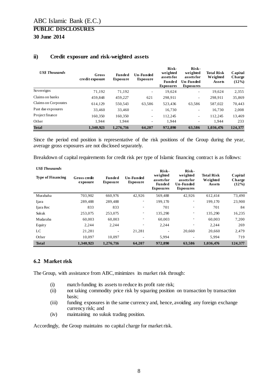| <b>US\$</b> Thousands | Gross<br>credit exposure | <b>Funded</b><br><b>Exposure</b> | Un-Funded<br><b>Exposure</b> | Risk-<br>weighted<br>assets for<br><b>Funded</b><br><b>Exposures</b> | Risk-<br>weighted<br>assets for<br>Un-Funded<br><b>Exposures</b> | <b>Total Risk</b><br>Weighted<br>Assets | Capital<br>Charge<br>$(12\%)$ |
|-----------------------|--------------------------|----------------------------------|------------------------------|----------------------------------------------------------------------|------------------------------------------------------------------|-----------------------------------------|-------------------------------|
| Sovereigns            | 71.192                   | 71.192                           |                              | 19.624                                                               | ٠                                                                | 19.624                                  | 2,355                         |
| Claims on banks       | 459.848                  | 459,227                          | 621                          | 298,911                                                              | ٠                                                                | 298,911                                 | 35,869                        |
| Claims on Corporates  | 614.129                  | 550.543                          | 63.586                       | 523.436                                                              | 63.586                                                           | 587.022                                 | 70,443                        |
| Past due exposures    | 33.460                   | 33.460                           | $\overline{\phantom{0}}$     | 16,730                                                               | ٠                                                                | 16.730                                  | 2,008                         |
| Project finance       | 160.350                  | 160.350                          | $\overline{\phantom{a}}$     | 112,245                                                              | ٠                                                                | 112.245                                 | 13,469                        |
| Other                 | 1.944                    | 1.944                            |                              | 1.944                                                                | ٠                                                                | 1,944                                   | 233                           |
| <b>Total</b>          | 1,340,923                | 1,276,716                        | 64,207                       | 972,890                                                              | 63,586                                                           | 1,036,476                               | 124,377                       |

#### **ii) Credit exposure and risk-weighted assets**

Since the period end position is representative of the risk positions of the Group during the year, average gross exposures are not disclosed separately.

Breakdown of capital requirements for credit risk per type of Islamic financing contract is as follows:

| <b>US\$</b> Thousands    |                          |                           |                              | Risk-                                                       | Risk-                                                          |                                         |                            |
|--------------------------|--------------------------|---------------------------|------------------------------|-------------------------------------------------------------|----------------------------------------------------------------|-----------------------------------------|----------------------------|
| <b>Type of Financing</b> | Gross credit<br>exposure | Funded<br><b>Exposure</b> | Un-Funded<br><b>Exposure</b> | weighted<br>assets for<br><b>Funded</b><br><b>Exposures</b> | weighted<br>assets for<br><b>Un-Funded</b><br><b>Exposures</b> | <b>Total Risk</b><br>Weighted<br>Assets | Capital<br>Charge<br>(12%) |
| Murabaha                 | 703,902                  | 660,976                   | 42,926                       | 569,488                                                     | 42,926                                                         | 612.414                                 | 73,490                     |
| Ijara                    | 289,488                  | 289,488                   | $\overline{\phantom{a}}$     | 199,170                                                     |                                                                | 199,170                                 | 23,900                     |
| Ijara Rec                | 833                      | 833                       | $\overline{\phantom{a}}$     | 701                                                         | ۰                                                              | 701                                     | 84                         |
| Sukuk                    | 253,075                  | 253,075                   | ٠                            | 135,290                                                     | -                                                              | 135,290                                 | 16,235                     |
| Mudaraba                 | 60,003                   | 60,003                    | $\overline{\phantom{a}}$     | 60,003                                                      | ٠                                                              | 60,003                                  | 7,200                      |
| <b>Equity</b>            | 2.244                    | 2.244                     | $\overline{\phantom{m}}$     | 2.244                                                       |                                                                | 2.244                                   | 269                        |
| LC                       | 21,281                   |                           | 21,281                       |                                                             | 20,660                                                         | 20,660                                  | 2,479                      |
| Other                    | 10.097                   | 10.097                    | -                            | 5.994                                                       |                                                                | 5.994                                   | 719                        |
| <b>Total</b>             | 1,340,923                | 1,276,716                 | 64,207                       | 972,890                                                     | 63,586                                                         | 1,036,476                               | 124,377                    |

### <span id="page-7-0"></span>**6.2 Market risk**

The Group, with assistance from ABC, minimizes its market risk through:

- (i) match-funding its assets to reduce its profit rate risk;
- (ii) not taking commodity price risk by squaring position on transaction by transaction basis;
- (iii) funding exposures in the same currency and, hence, avoiding any foreign exchange currency risk; and
- (iv) maintaining no sukuk trading position.

Accordingly, the Group maintains no capital charge for market risk.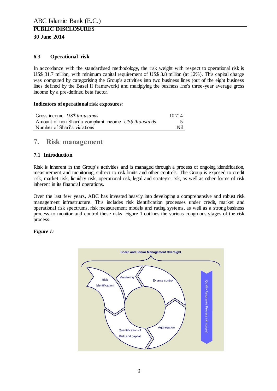# <span id="page-8-0"></span>**6.3 Operational risk**

In accordance with the standardised methodology, the risk weight with respect to operational risk is US\$ 31.7 million, with minimum capital requirement of US\$ 3.8 million (at 12%). This capital charge was computed by categorising the Group's activities into two business lines (out of the eight business lines defined by the Basel II framework) and multiplying the business line's three-year average gross income by a pre-defined beta factor.

#### **Indicators of operational risk exposures:**

| Gross income US\$ thousands                           | 10.714 |
|-------------------------------------------------------|--------|
| Amount of non-Shari'a compliant income US\$ thousands |        |
| Number of Shari'a violations                          | Nil    |

# <span id="page-8-1"></span>**7. Risk management**

## <span id="page-8-2"></span>**7.1 Introduction**

Risk is inherent in the Group's activities and is managed through a process of ongoing identification, measurement and monitoring, subject to risk limits and other controls. The Group is exposed to credit risk, market risk, liquidity risk, operational risk, legal and strategic risk, as well as other forms of risk inherent in its financial operations.

Over the last few years, ABC has invested heavily into developing a comprehensive and robust risk management infrastructure. This includes risk identification processes under credit, market and operational risk spectrums, risk measurement models and rating systems, as well as a strong business process to monitor and control these risks. Figure 1 outlines the various congruous stages of the risk process.

### *Figure 1:*

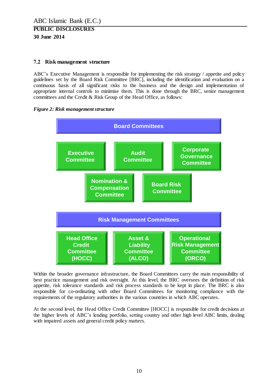#### <span id="page-9-0"></span>**7.2 Risk management structure**

ABC's Executive Management is responsible for implementing the risk strategy / appetite and policy guidelines set by the Board Risk Committee [BRC], including the identification and evaluation on a continuous basis of all significant risks to the business and the design and implementation of appropriate internal controls to minimise them. This is done through the BRC, senior management committees and the Credit & Risk Group of the Head Office, as follows:





Within the broader governance infrastructure, the Board Committees carry the main responsibility of best practice management and risk oversight. At this level, the BRC oversees the definition of risk appetite, risk tolerance standards and risk process standards to be kept in place. The BRC is also responsible for co-ordinating with other Board Committees for monitoring compliance with the requirements of the regulatory authorities in the various countries in which ABC operates.

At the second level, the Head Office Credit Committee [HOCC] is responsible for credit decisions at the higher levels of ABC's lending portfolio, setting country and other high level ABC limits, dealing with impaired assets and general credit policy matters.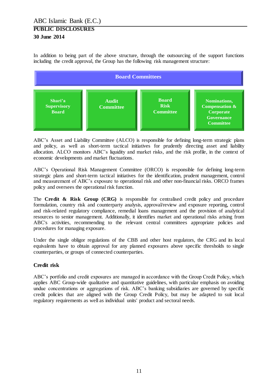In addition to being part of the above structure, through the outsourcing of the support functions including the credit approval, the Group has the following risk management structure:



ABC's Asset and Liability Committee (ALCO) is responsible for defining long-term strategic plans and policy, as well as short-term tactical initiatives for prudently directing asset and liability allocation. ALCO monitors ABC's liquidity and market risks, and the risk profile, in the context of economic developments and market fluctuations.

ABC's Operational Risk Management Committee (ORCO) is responsible for defining long-term strategic plans and short-term tactical initiatives for the identification, prudent management, control and measurement of ABC's exposure to operational risk and other non-financial risks. ORCO frames policy and oversees the operational risk function.

The **Credit & Risk Group (CRG)** is responsible for centralised credit policy and procedure formulation, country risk and counterparty analysis, approval/review and exposure reporting, control and risk-related regulatory compliance, remedial loans management and the provision of analytical resources to senior management. Additionally, it identifies market and operational risks arising from ABC's activities, recommending to the relevant central committees appropriate policies and procedures for managing exposure.

Under the single obligor regulations of the CBB and other host regulators, the CRG and its local equivalents have to obtain approval for any planned exposures above specific thresholds to single counterparties, or groups of connected counterparties.

# **Credit risk**

ABC's portfolio and credit exposures are managed in accordance with the Group Credit Policy, which applies ABC Group-wide qualitative and quantitative guidelines, with particular emphasis on avoiding undue concentrations or aggregations of risk. ABC's banking subsidiaries are governed by specific credit policies that are aligned with the Group Credit Policy, but may be adapted to suit local regulatory requirements as well as individual units' product and sectoral needs.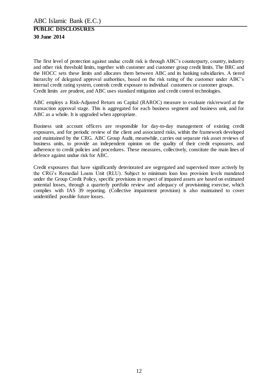The first level of protection against undue credit risk is through ABC's counterparty, country, industry and other risk threshold limits, together with customer and customer group credit limits. The BRC and the HOCC sets these limits and allocates them between ABC and its banking subsidiaries. A tiered hierarchy of delegated approval authorities, based on the risk rating of the customer under ABC's internal credit rating system, controls credit exposure to individual customers or customer groups. Credit limits are prudent, and ABC uses standard mitigation and credit control technologies.

ABC employs a Risk-Adjusted Return on Capital (RAROC) measure to evaluate risk/reward at the transaction approval stage. This is aggregated for each business segment and business unit, and for ABC as a whole. It is upgraded when appropriate.

Business unit account officers are responsible for day-to-day management of existing credit exposures, and for periodic review of the client and associated risks, within the framework developed and maintained by the CRG. ABC Group Audit, meanwhile, carries out separate risk asset reviews of business units, to provide an independent opinion on the quality of their credit exposures, and adherence to credit policies and procedures. These measures, collectively, constitute the main lines of defence against undue risk for ABC.

Credit exposures that have significantly deteriorated are segregated and supervised more actively by the CRG's Remedial Loans Unit (RLU). Subject to minimum loan loss provision levels mandated under the Group Credit Policy, specific provisions in respect of impaired assets are based on estimated potential losses, through a quarterly portfolio review and adequacy of provisioning exercise, which complies with IAS 39 reporting. (Collective impairment provision) is also maintained to cover unidentified possible future losses.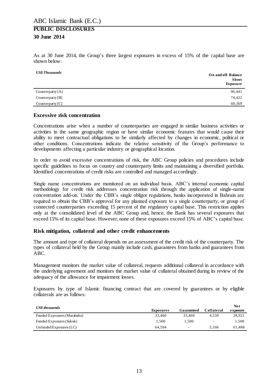As at 30 June 2014, the Group's three largest exposures in excess of 15% of the capital base are shown below:

| <b>US\$</b> Thousands | <b>On and off-Balance</b><br><b>Sheet</b><br><b>Exposure</b> |
|-----------------------|--------------------------------------------------------------|
| Counterparty $[A]$    | 96,441                                                       |
| Counterparty $[B]$    | 74,422                                                       |
| Counterparty $ C $    | 60,369                                                       |

#### **Excessive risk concentration**

Concentrations arise when a number of counterparties are engaged in similar business activities or activities in the same geographic region or have similar economic features that would cause their ability to meet contractual obligations to be similarly affected by changes in economic, political or other conditions. Concentrations indicate the relative sensitivity of the Group's performance to developments affecting a particular industry or geographical location.

In order to avoid excessive concentrations of risk, the ABC Group policies and procedures include specific guidelines to focus on country and counterparty limits and maintaining a diversified portfolio. Identified concentrations of credit risks are controlled and managed accordingly.

Single name concentrations are monitored on an individual basis. ABC's internal economic capital methodology for credit risk addresses concentration risk through the application of single-name concentration add-on. Under the CBB's single obligor regulations, banks incorporated in Bahrain are required to obtain the CBB's approval for any planned exposure to a single counterparty, or group of connected counterparties exceeding 15 percent of the regulatory capital base. This restriction applies only at the consolidated level of the ABC Group and, hence, the Bank has several exposures that exceed 15% of its capital base. However, none of these exposures exceed 15% of ABC's capital base.

#### **Risk mitigation, collateral and other credit enhancements**

The amount and type of collateral depends on an assessment of the credit risk of the counterparty. The types of collateral held by the Group mainly include cash, guarantees from banks and guarantees from ABC.

Management monitors the market value of collateral, requests additional collateral in accordance with the underlying agreement and monitors the market value of collateral obtained during its review of the adequacy of the allowance for impairment losses.

Exposures by type of Islamic financing contract that are covered by guarantees or by eligible collaterals are as follows:

| US\$ thousands              |           |            |            | Net      |
|-----------------------------|-----------|------------|------------|----------|
|                             | Exposures | Guaranteed | Collateral | exposure |
| Funded Exposures (Murabaha) | 33.460    | 33.460     | 4.539      | 28,921   |
| Funded Exposures (Sukuk)    | 1.500     | 1.500      | ۰          | 1.500    |
| Unfunded Exposures $(LC)$   | 64.594    | $\sim$     | 3.106      | 61.488   |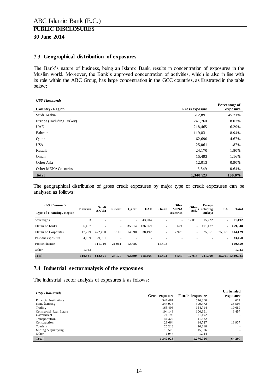#### <span id="page-13-0"></span>**7.3 Geographical distribution of exposures**

The Bank's nature of business, being an Islamic Bank, results in concentration of exposures in the Muslim world. Moreover, the Bank's approved concentration of activities, which is also in line with its role within the ABC Group, has large concentration in the GCC countries, as illustrated in the table below:

*US\$ Thousands*

|                           |                | Percentage of |
|---------------------------|----------------|---------------|
| Country / Region          | Gross exposure | exposure      |
| Saudi Arabia              | 612,891        | 45.71%        |
| Europe (Including Turkey) | 241,760        | 18.02%        |
| <b>UAE</b>                | 218,465        | 16.29%        |
| Bahrain                   | 119,831        | 8.94%         |
| Qatar                     | 62,690         | 4.67%         |
| <b>USA</b>                | 25,061         | 1.87%         |
| Kuwait                    | 24,170         | 1.80%         |
| Oman                      | 15,493         | 1.16%         |
| Other Asia                | 12,013         | 0.90%         |
| Other MENA Countries      | 8,549          | 0.64%         |
| <b>Total</b>              | 1,340,923      | 100.0%        |

The geographical distribution of gross credit exposures by major type of credit exposures can be analysed as follows:

| <b>USS Thousands</b>       | <b>Bahrain</b> | Saudi                    | Kuwait | Oatar  | <b>UAE</b> | Oman           | Other<br><b>MENA</b> | Other  | Europe<br>(Including     | <b>USA</b> | Total            |
|----------------------------|----------------|--------------------------|--------|--------|------------|----------------|----------------------|--------|--------------------------|------------|------------------|
| Type of Financing / Region |                | Arabia                   |        |        |            |                | countries            | Asia   | Turkey)                  |            |                  |
| Sovereigns                 | 53             | $\overline{\phantom{a}}$ | ٠      | $\sim$ | 43,904     | ۰              | $\sim$               | 12,013 | 15,222                   | ۰.         | 71,192           |
| Claims on banks            | 96.467         | ۰                        | ٠      | 35,214 | 136,069    |                | 621                  | $\sim$ | 191,477                  | $\sim$     | 459,848          |
| Claims on Corporates       | 17.299         | 472.490                  | 3.109  | 14.690 | 38.492     |                | 7.928                | $\sim$ | 35,061                   | 25,061     | 614,129          |
| Past due exposures         | 4,069          | 29,391                   |        |        |            |                |                      |        |                          | ۰.         | 33,460           |
| Project finance            | $\sim$         | 111.010                  | 21.061 | 12.786 | $\sim$     | 15.493         | ٠                    |        | $\overline{\phantom{a}}$ | ÷.         | 160,350          |
| Other                      | 1.943          | $\overline{\phantom{a}}$ |        |        |            | $\blacksquare$ | ٠                    |        | $\overline{\phantom{a}}$ | ٠          | 1,943            |
| Total                      | 119.831        | 612.891                  | 24,170 | 62.690 | 218,465    | 15.493         | 8.549                | 12,013 | 241.760                  |            | 25,061 1,340,923 |

#### <span id="page-13-1"></span>**7.4 Industrial sectoranalysis of the exposures**

The industrial sector analysis of exposures is as follows:

| <b>US\$</b> Thousands         |                |                        | Un funded                |
|-------------------------------|----------------|------------------------|--------------------------|
|                               | Gross exposure | <b>Funded exposure</b> | exposure                 |
| <b>Financial Institutions</b> | 547.481        | 546,860                | 621                      |
| Manufacturing                 | 344.975        | 309,472                | 35,503                   |
| Trading                       | 165.403        | 154,714                | 10.689                   |
| Commercial Real Estate        | 104.148        | 100.691                | 3,457                    |
| Government                    | 71,192         | 71,192                 |                          |
| Transportation                | 41,322         | 41,322                 | $\overline{\phantom{a}}$ |
| Construction                  | 28,664         | 14.727                 | 13,937                   |
| Tourism                       | 20,218         | 20,218                 |                          |
| Mining & Quarrying            | 15,576         | 15.576                 |                          |
| Other                         | 1.944          | 1.944                  | $\overline{\phantom{a}}$ |
| <b>Total</b>                  | 1,340,923      | 1,276,716              | 64,207                   |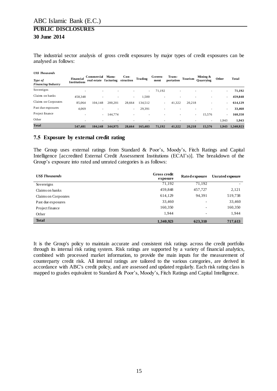The industrial sector analysis of gross credit exposures by major types of credit exposures can be analysed as follows:

|  |  | <b>US\$</b> Thousands |
|--|--|-----------------------|
|--|--|-----------------------|

| Type of<br>Financing/Industry | Financial<br><b>Institutions</b> | Commercial<br>real estate facturing                  | <b>Manu-</b> | $Con-$<br>struction      | Trading                  | Govern-<br>ment          | Trans-<br>portation | Tourism | Mining &<br>Ouarrying | Other  | Total     |
|-------------------------------|----------------------------------|------------------------------------------------------|--------------|--------------------------|--------------------------|--------------------------|---------------------|---------|-----------------------|--------|-----------|
| Sovereigns                    |                                  | $\overline{\phantom{a}}$<br>$\overline{\phantom{a}}$ | ۰            | $\overline{\phantom{a}}$ | $\sim$                   | 71,192                   | ٠                   |         |                       | ٠      | 71,192    |
| Claims on banks               | 458,348                          |                                                      |              | $\sim$                   | 1,500                    | $\overline{\phantom{a}}$ |                     |         |                       | ٠      | 459,848   |
| Claims on Corporates          | 85,064                           | 104.148                                              | 200.201      | 28,664                   | 134,512                  | $\sim$                   | 41.322              | 20.218  |                       | ٠      | 614,129   |
| Past due exposures            | 4,069                            | $\overline{\phantom{a}}$                             |              | $\sim$                   | 29,391                   | $\overline{\phantom{a}}$ |                     |         |                       |        | 33,460    |
| Project finance               |                                  | ٠<br>$\overline{\phantom{a}}$                        | 144,774      | $\overline{\phantom{a}}$ | $\overline{\phantom{a}}$ | $\overline{\phantom{a}}$ |                     |         | 15,576<br>٠           | $\sim$ | 160,350   |
| Other                         |                                  | ۰<br>$\overline{\phantom{a}}$                        |              |                          |                          | $\overline{\phantom{a}}$ |                     |         |                       | 1,943  | 1,943     |
| <b>Total</b>                  | 547.481                          | 104.148                                              | 344.975      | 28,664                   | 165.403                  | 71.192                   | 41.322              | 20.218  | 15.576                | 1.943  | 1.340.923 |

#### <span id="page-14-0"></span>**7.5 Exposure by external credit rating**

The Group uses external ratings from Standard & Poor's, Moody's, Fitch Ratings and Capital Intelligence [accredited External Credit Assessment Institutions (ECAI's)]. The breakdown of the Group's exposure into rated and unrated categories is as follows:

| <b>US\$</b> Thousands | Gross credit<br>exposure | Rated exposure | <b>Unrated exposure</b> |
|-----------------------|--------------------------|----------------|-------------------------|
| Sovereigns            | 71,192                   | 71,192         |                         |
| Claims on banks       | 459,848                  | 457,727        | 2,121                   |
| Claims on Corporates  | 614,129                  | 94,391         | 519,738                 |
| Past due exposures    | 33,460                   | ۰              | 33,460                  |
| Project finance       | 160,350                  | ٠              | 160,350                 |
| Other                 | 1,944                    | ٠              | 1,944                   |
| <b>Total</b>          | 1,340,923                | 623,310        | 717,613                 |

It is the Group's policy to maintain accurate and consistent risk ratings across the credit portfolio through its internal risk rating system. Risk ratings are supported by a variety of financial analytics, combined with processed market information, to provide the main inputs for the measurement of counterparty credit risk. All internal ratings are tailored to the various categories, are derived in accordance with ABC's credit policy, and are assessed and updated regularly. Each risk rating class is mapped to grades equivalent to Standard & Poor's, Moody's, Fitch Ratings and Capital Intelligence.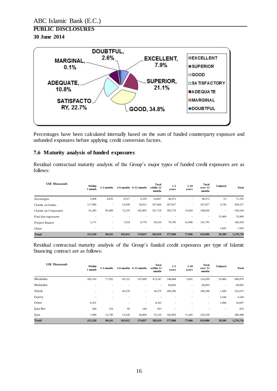# **PUBLIC DISCLOSURES**

# **30 June 2014**



Percentages have been calculated internally based on the sum of funded counterparty exposure and unfunded exposures before applying credit conversion factors.

#### <span id="page-15-0"></span>**7.6 Maturity analysis of funded exposures**

Residual contractual maturity analysis of the Group's major types of funded credit exposures are as follows:

| <b>USS Thousands</b> | Within<br>l month | 1-3 months               |         | $3-6$ months $6-12$ months | <b>Total</b><br>within 12<br>months | $1 - 5$<br>years | $5 - 10$<br>years | <b>Total</b><br>over 12<br>months | Undated                  | Total     |
|----------------------|-------------------|--------------------------|---------|----------------------------|-------------------------------------|------------------|-------------------|-----------------------------------|--------------------------|-----------|
| Sovereigns           | 5,068             | 4,832                    | 8,517   | 6,250                      | 24.667                              | 46,472           | ٠                 | 46,472                            | 53                       | 71,192    |
| Claims on banks      | 117,996           | $\overline{\phantom{a}}$ | 13,658  | 56,012                     | 187,666                             | 267,817          | ٠                 | 267,817                           | 3,744                    | 459,227   |
| Claims on Corporates | 91,285            | 85,409                   | 72,219  | 102,805                    | 351,718                             | 183,776          | 15,050            | 198,826                           | $\overline{\phantom{a}}$ | 550,544   |
| Past due exposures   |                   |                          |         |                            |                                     |                  |                   | $\overline{\phantom{a}}$          | 33,460                   | 33,460    |
| Project finance      | 1,171             | $\overline{\phantom{a}}$ | 7,618   | 9,770                      | 18,559                              | 79,795           | 61,996            | 141,791                           | $\overline{\phantom{a}}$ | 160,350   |
| Other                | -                 |                          |         |                            |                                     |                  |                   |                                   | 1,943                    | 1.943     |
| <b>Total</b>         | 215.520           | 90.241                   | 102.012 | 174,837                    | 582,610                             | 577,860          | 77,046            | 654,906                           | 39,200                   | 1,276,716 |

Residual contractual maturity analysis of the Group's funded credit exposures per type of Islamic financing contract are as follows:

| <b>US\$</b> Thousands | Within<br>1 month | 1-3 months |         | 3-6 months 6-12 months   | <b>Total</b><br>within 12<br>months | $1 - 5$<br>years | $5 - 10$<br>years        | <b>Total</b><br>over 12<br>months | Undated                  | <b>Total</b> |
|-----------------------|-------------------|------------|---------|--------------------------|-------------------------------------|------------------|--------------------------|-----------------------------------|--------------------------|--------------|
| Murabaha              | 205,145           | 77,291     | 43,112  | 147,699                  | 473,247                             | 148,668          | 5,601                    | 154,269                           | 33,460                   | 660,976      |
| Mudaraba              |                   |            |         |                          | $\overline{\phantom{a}}$            | 60,003           | $\overline{\phantom{a}}$ | 60,003                            | $\overline{\phantom{a}}$ | 60,003       |
| Sukuk                 | ۰                 | $\sim$     | 45,279  | $\sim$                   | 45,279                              | 206,296          | ٠                        | 206,296                           | 1,500                    | 253,075      |
| Equity                | ٠                 | ۰          |         |                          |                                     |                  |                          | $\overline{\phantom{a}}$          | 2,244                    | 2,244        |
| Other                 | 8,101             |            |         | $\overline{\phantom{a}}$ | 8,101                               |                  |                          | $\overline{\phantom{a}}$          | 1,996                    | 10,097       |
| Ijara Rec             | 284               | 210        | 95      | 244                      | 833                                 | ٠                | ۰                        |                                   | $\overline{\phantom{a}}$ | 833          |
| Ijara                 | 1,990             | 12,740     | 13,526  | 26,894                   | 55,150                              | 162,893          | 71,445                   | 234,338                           | $\overline{\phantom{a}}$ | 289,488      |
| <b>Total</b>          | 215,520           | 90,241     | 102,012 | 174,837                  | 582,610                             | 577,860          | 77,046                   | 654,906                           | 39,200                   | 1,276,716    |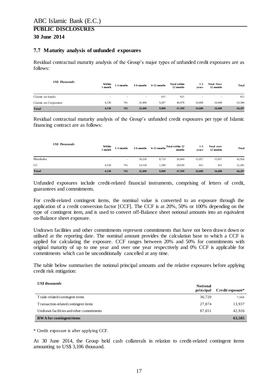#### <span id="page-16-0"></span>**7.7 Maturity analysis of unfunded exposures**

Residual contractual maturity analysis of the Group's major types of unfunded credit exposures are as follows:

| <b>US\$</b> Thousands | Within<br>l month        | 1-3 months               | 3-6 months               | 6-12 months | <b>Total within</b><br>12 months | $1-5$<br>vears           | <b>Total Over</b><br>12 months | <b>Total</b> |
|-----------------------|--------------------------|--------------------------|--------------------------|-------------|----------------------------------|--------------------------|--------------------------------|--------------|
| Claims on banks       | $\overline{\phantom{a}}$ | $\overline{\phantom{a}}$ | $\overline{\phantom{a}}$ | 621         | 621                              | $\overline{\phantom{a}}$ | $\overline{\phantom{a}}$       | 621          |
| Claims on Corporates  | 4.530                    | 761                      | 32,400                   | 9.287       | 46.978                           | 16.608                   | 16,608                         | 63,586       |
| <b>Total</b>          | 4,530                    | 761                      | 32,400                   | 9,908       | 47,599                           | 16,608                   | 16,608                         | 64,207       |

Residual contractual maturity analysis of the Group's unfunded credit exposures per type of Islamic financing contract are as follows:

| <b>US\$</b> Thousands | Within<br>month          | 1-3 months               | 3-6 months | $6-12$ months $Total within 12$ | months | 1-5<br>vears | <b>Total over</b><br>12 months | <b>Total</b> |
|-----------------------|--------------------------|--------------------------|------------|---------------------------------|--------|--------------|--------------------------------|--------------|
| Murabaha              | $\overline{\phantom{a}}$ | $\overline{\phantom{a}}$ | 18.250     | 8,719                           | 26,969 | 15,957       | 15,957                         | 42,926       |
| LC                    | 4,530                    | 761                      | 14,150     | 1,189                           | 20,630 | 651          | 651                            | 21,281       |
| <b>Total</b>          | 4,530                    | 761                      | 32,400     | 9,908                           | 47,599 | 16,608       | 16,608                         | 64,207       |

Unfunded exposures include credit-related financial instruments, comprising of letters of credit, guarantees and commitments.

For credit-related contingent items, the nominal value is converted to an exposure through the application of a credit conversion factor [CCF]. The CCF is at 20%, 50% or 100% depending on the type of contingent item, and is used to convert off-Balance sheet notional amounts into an equivalent on-Balance sheet exposure.

Undrawn facilities and other commitments represent commitments that have not been drawn down or utilised at the reporting date. The nominal amount provides the calculation base to which a CCF is applied for calculating the exposure. CCF ranges between 20% and 50% for commitments with original maturity of up to one year and over one year respectively and 0% CCF is applicable for commitments which can be unconditionally cancelled at any time.

The table below summarises the notional principal amounts and the relative exposures before applying credit risk mitigation:

*US\$ thousands*

|                                          | <b>Notional</b><br>principal | Credit exposure* |
|------------------------------------------|------------------------------|------------------|
| Trade-related contingent items           | 36,720                       | 7.344            |
| Transaction-related contingent items     | 27,874                       | 13,937           |
| Undrawn facilities and other commitments | 87.651                       | 42,926           |
| <b>RWA</b> for contingent items          |                              | 63,585           |

\* Credit exposure is after applying CCF.

At 30 June 2014, the Group held cash collaterals in relation to credit-related contingent items amounting to US\$ 3,106 thousand.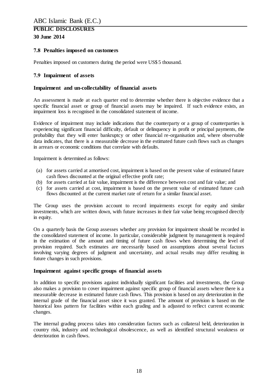#### <span id="page-17-0"></span>**7.8 Penalties imposed on customers**

Penalties imposed on customers during the period were US\$ 5 thousand.

#### <span id="page-17-1"></span>**7.9 Impairment of assets**

#### **Impairment and un-collectability of financial assets**

An assessment is made at each quarter end to determine whether there is objective evidence that a specific financial asset or group of financial assets may be impaired. If such evidence exists, an impairment loss is recognised in the consolidated statement of income.

Evidence of impairment may include indications that the counterparty or a group of counterparties is experiencing significant financial difficulty, default or delinquency in profit or principal payments, the probability that they will enter bankruptcy or other financial re-organisation and, where observable data indicates, that there is a measurable decrease in the estimated future cash flows such as changes in arrears or economic conditions that correlate with defaults.

Impairment is determined as follows:

- (a) for assets carried at amortised cost, impairment is based on the present value of estimated future cash flows discounted at the original effective profit rate;
- (b) for assets carried at fair value, impairment is the difference between cost and fair value; and
- (c) for assets carried at cost, impairment is based on the present value of estimated future cash flows discounted at the current market rate of return for a similar financial asset.

The Group uses the provision account to record impairments except for equity and similar investments, which are written down, with future increases in their fair value being recognised directly in equity.

On a quarterly basis the Group assesses whether any provision for impairment should be recorded in the consolidated statement of income. In particular, considerable judgment by management is required in the estimation of the amount and timing of future cash flows when determining the level of provision required. Such estimates are necessarily based on assumptions about several factors involving varying degrees of judgment and uncertainty, and actual results may differ resulting in future changes in such provisions.

#### **Impairment against specific groups of financial assets**

In addition to specific provisions against individually significant facilities and investments, the Group also makes a provision to cover impairment against specific group of financial assets where there is a measurable decrease in estimated future cash flows. This provision is based on any deterioration in the internal grade of the financial asset since it was granted. The amount of provision is based on the historical loss pattern for facilities within each grading and is adjusted to reflect current economic changes.

The internal grading process takes into consideration factors such as collateral held, deterioration in country risk, industry and technological obsolescence, as well as identified structural weakness or deterioration in cash flows.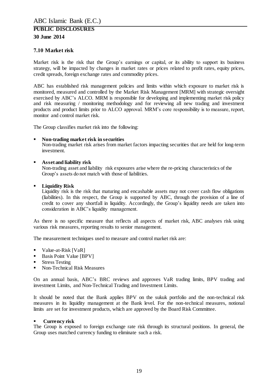#### <span id="page-18-0"></span>**7.10 Market risk**

Market risk is the risk that the Group's earnings or capital, or its ability to support its business strategy, will be impacted by changes in market rates or prices related to profit rates, equity prices, credit spreads, foreign exchange rates and commodity prices.

ABC has established risk management policies and limits within which exposure to market risk is monitored, measured and controlled by the Market Risk Management [MRM] with strategic oversight exercised by ABC's ALCO. MRM is responsible for developing and implementing market risk policy and risk measuring / monitoring methodology and for reviewing all new trading and investment products and product limits prior to ALCO approval. MRM's core responsibility is to measure, report, monitor and control market risk.

The Group classifies market risk into the following:

#### **Non-trading market risk in securities**

Non-trading market risk arises from market factors impacting securities that are held for long-term investment.

#### **Asset and liability risk**

Non-trading asset and liability risk exposures arise where the re-pricing characteristics of the Group's assets do not match with those of liabilities.

#### **Liquidity Risk**

Liquidity risk is the risk that maturing and encashable assets may not cover cash flow obligations (liabilities). In this respect, the Group is supported by ABC, through the provision of a line of credit to cover any shortfall in liquidity. Accordingly, the Group's liquidity needs are taken into consideration in ABC's liquidity management.

As there is no specific measure that reflects all aspects of market risk, ABC analyses risk using various risk measures, reporting results to senior management.

The measurement techniques used to measure and control market risk are:

- Value-at-Risk [VaR]
- **Basis Point Value [BPV]**
- **Stress Testing**
- Non-Technical Risk Measures

On an annual basis, ABC's BRC reviews and approves VaR trading limits, BPV trading and investment Limits, and Non-Technical Trading and Investment Limits.

It should be noted that the Bank applies BPV on the sukuk portfolio and the non-technical risk measures in its liquidity management at the Bank level. For the non-technical measures, notional limits are set for investment products, which are approved by the Board Risk Committee.

#### **Currency risk**

The Group is exposed to foreign exchange rate risk through its structural positions. In general, the Group uses matched currency funding to eliminate such a risk.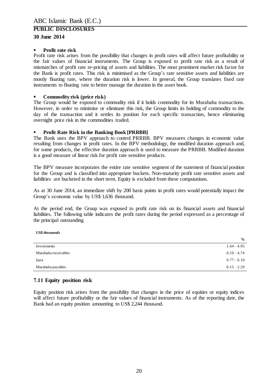#### **Profit rate risk**

Profit rate risk arises from the possibility that changes in profit rates will affect future profitability or the fair values of financial instruments. The Group is exposed to profit rate risk as a result of mismatches of profit rate re-pricing of assets and liabilities. The most prominent market risk factor for the Bank is profit rates. This risk is minimised as the Group's rate sensitive assets and liabilities are mostly floating rate, where the duration risk is lower. In general, the Group translates fixed rate instruments to floating rate to better manage the duration in the asset book.

#### **Commodity risk (price risk)**

The Group would be exposed to commodity risk if it holds commodity for its Murabaha transactions. However, in order to minimise or eliminate this risk, the Group limits its holding of commodity to the day of the transaction and it settles its position for each specific transaction, hence eliminating overnight price risk in the commodities traded.

#### **Profit Rate Risk in the Banking Book [PRRBB]**

The Bank uses the BPV approach to control PRRBB. BPV measures changes in economic value resulting from changes in profit rates. In the BPV methodology, the modified duration approach and, for some products, the effective duration approach is used to measure the PRRBB. Modified duration is a good measure of linear risk for profit rate sensitive products.

The BPV measure incorporates the entire rate sensitive segment of the statement of financial position for the Group and is classified into appropriate buckets. Non-maturity profit rate sensitive assets and liabilities are bucketed in the short term. Equity is excluded from these computations.

As at 30 June 2014, an immediate shift by 200 basis points in profit rates would potentially impact the Group's economic value by US\$ 1,636 thousand.

At the period end, the Group was exposed to profit rate risk on its financial assets and financial liabilities. The following table indicates the profit rates during the period expressed as a percentage of the principal outstanding.

*US\$ thousands*

|                      | $\frac{0}{0}$ |
|----------------------|---------------|
| Investments          | $1.44 - 4.95$ |
| Murabaha receivables | $0.10 - 4.74$ |
| Ijara                | $0.77 - 6.10$ |
| Murabaha payables    | $0.15 - 2.29$ |
|                      |               |

### <span id="page-19-0"></span>**7.11 Equity position risk**

Equity position risk arises from the possibility that changes in the price of equities or equity indices will affect future profitability or the fair values of financial instruments. As of the reporting date, the Bank had an equity position amounting to US\$ 2,244 thousand.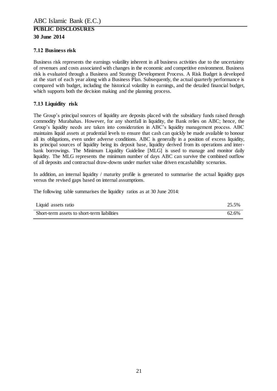### <span id="page-20-0"></span>**7.12 Business risk**

Business risk represents the earnings volatility inherent in all business activities due to the uncertainty of revenues and costs associated with changes in the economic and competitive environment. Business risk is evaluated through a Business and Strategy Development Process. A Risk Budget is developed at the start of each year along with a Business Plan. Subsequently, the actual quarterly performance is compared with budget, including the historical volatility in earnings, and the detailed financial budget, which supports both the decision making and the planning process.

### <span id="page-20-1"></span>**7.13 Liquidity risk**

The Group's principal sources of liquidity are deposits placed with the subsidiary funds raised through commodity Murabahas. However, for any shortfall in liquidity, the Bank relies on ABC; hence, the Group's liquidity needs are taken into consideration in ABC's liquidity management process. ABC maintains liquid assets at prudential levels to ensure that cash can quickly be made available to honour all its obligations, even under adverse conditions. ABC is generally in a position of excess liquidity, its principal sources of liquidity being its deposit base, liquidity derived from its operations and interbank borrowings. The Minimum Liquidity Guideline [MLG] is used to manage and monitor daily liquidity. The MLG represents the minimum number of days ABC can survive the combined outflow of all deposits and contractual draw-downs under market value driven encashability scenarios.

In addition, an internal liquidity / maturity profile is generated to summarise the actual liquidity gaps versus the revised gaps based on internal assumptions.

The following table summarises the liquidity ratios as at 30 June 2014:

| Liquid assets ratio                         | 25.5% |
|---------------------------------------------|-------|
| Short-term assets to short-term liabilities | 62.6% |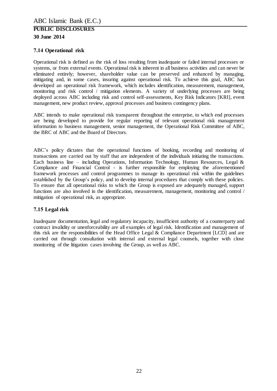## <span id="page-21-0"></span>**7.14 Operational risk**

Operational risk is defined as the risk of loss resulting from inadequate or failed internal processes or systems, or from external events. Operational risk is inherent in all business activities and can never be eliminated entirely; however, shareholder value can be preserved and enhanced by managing, mitigating and, in some cases, insuring against operational risk. To achieve this goal, ABC has developed an operational risk framework, which includes identification, measurement, management, monitoring and risk control / mitigation elements. A variety of underlying processes are being deployed across ABC including risk and control self-assessments, Key Risk Indicators [KRI], event management, new product review, approval processes and business contingency plans.

ABC intends to make operational risk transparent throughout the enterprise, to which end processes are being developed to provide for regular reporting of relevant operational risk management information to business management, senior management, the Operational Risk Committee of ABC, the BRC of ABC and the Board of Directors.

ABC's policy dictates that the operational functions of booking, recording and monitoring of transactions are carried out by staff that are independent of the individuals initiating the transactions. Each business line – including Operations, Information Technology, Human Resources, Legal  $\&$ Compliance and Financial Control - is further responsible for employing the aforementioned framework processes and control programmes to manage its operational risk within the guidelines established by the Group's policy, and to develop internal procedures that comply with these policies. To ensure that all operational risks to which the Group is exposed are adequately managed, support functions are also involved in the identification, measurement, management, monitoring and control / mitigation of operational risk, as appropriate.

### <span id="page-21-1"></span>**7.15 Legal risk**

Inadequate documentation, legal and regulatory incapacity, insufficient authority of a counterparty and contract invalidity or unenforceability are all examples of legal risk. Identification and management of this risk are the responsibilities of the Head Office Legal & Compliance Department [LCD] and are carried out through consultation with internal and external legal counsels, together with close monitoring of the litigation cases involving the Group, as well as ABC.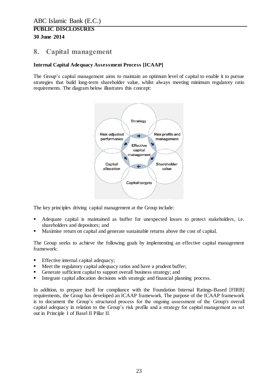# <span id="page-22-0"></span>**8. Capital management**

### **Internal Capital Adequacy Assessment Process [ICAAP]**

The Group's capital management aims to maintain an optimum level of capital to enable it to pursue strategies that build long-term shareholder value, whilst always meeting minimum regulatory ratio requirements. The diagram below illustrates this concept:



The key principles driving capital management at the Group include:

- Adequate capital is maintained as buffer for unexpected losses to protect stakeholders, i.e. shareholders and depositors; and
- Maximise return on capital and generate sustainable returns above the cost of capital.

The Group seeks to achieve the following goals by implementing an effective capital management framework:

- **Effective internal capital adequacy;**
- Meet the regulatory capital adequacy ratios and have a prudent buffer;
- Generate sufficient capital to support overall business strategy; and
- Integrate capital allocation decisions with strategic and financial planning process.

In addition, to prepare itself for compliance with the Foundation Internal Ratings-Based [FIRB] requirements, the Group has developed an ICAAP framework. The purpose of the ICAAP framework is to document the Group's structured process for the ongoing assessment of the Group's overall capital adequacy in relation to the Group's risk profile and a strategy for capital management as set out in Principle 1 of Basel II Pillar II.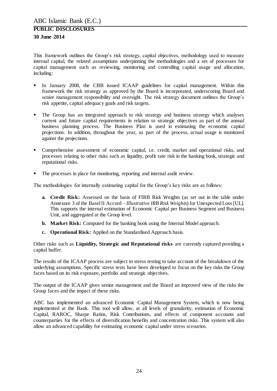This framework outlines the Group's risk strategy, capital objectives, methodology used to measure internal capital, the related assumptions underpinning the methodologies and a set of processes for capital management such as reviewing, monitoring and controlling capital usage and allocation, including:

- In January 2008, the CBB issued ICAAP guidelines for capital management. Within this framework the risk strategy as approved by the Board is incorporated, underscoring Board and senior management responsibility and oversight. The risk strategy document outlines the Group's risk appetite, capital adequacy goals and risk targets.
- The Group has an integrated approach to risk strategy and business strategy which analyses current and future capital requirements in relation to strategic objectives as part of the annual business planning process. The Business Plan is used in estimating the economic capital projections. In addition, throughout the year, as part of the process, actual usage is monitored against the projections.
- Comprehensive assessment of economic capital, i.e. credit, market and operational risks, and processes relating to other risks such as liquidity, profit rate risk in the banking book, strategic and reputational risks.
- The processes in place for monitoring, reporting and internal audit review.

The methodologies for internally estimating capital for the Group's key risks are as follows:

- **a. Credit Risk:** Assessed on the basis of FIRB Risk Weights (as set out in the table under Annexure 3 of the Basel II Accord – *Illustrative IRB Risk Weights*) for Unexpected Loss [UL]. This supports the internal estimation of Economic Capital per Business Segment and Business Unit, and aggregated at the Group level.
- **b. Market Risk:** Computed for the banking book using the Internal Model approach.
- **c. Operational Risk:** Applied on the Standardised Approach basis.

Other risks such as **Liquidity, Strategic and Reputational risks** are currently captured providing a capital buffer.

The results of the ICAAP process are subject to stress testing to take account of the breakdown of the underlying assumptions. Specific stress tests have been developed to focus on the key risks the Group faces based on its risk exposure, portfolio and strategic objectives.

The output of the ICAAP gives senior management and the Board an improved view of the risks the Group faces and the impact of these risks.

ABC has implemented an advanced Economic Capital Management System, which is now being implemented at the Bank. This tool will allow, at all levels of granularity, estimation of Economic Capital, RAROC, Sharpe Ratios, Risk Contributions, and effects of component accounts and counterparties for the effects of diversification benefits and concentration risks. This system will also allow an advanced capability for estimating economic capital under stress scenarios.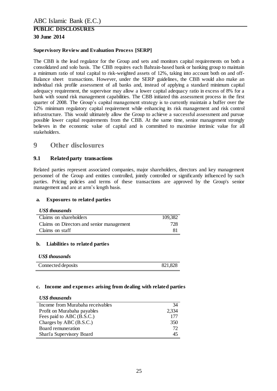#### **Supervisory Review and Evaluation Process [SERP]**

The CBB is the lead regulator for the Group and sets and monitors capital requirements on both a consolidated and solo basis. The CBB requires each Bahrain-based bank or banking group to maintain a minimum ratio of total capital to risk-weighted assets of 12%, taking into account both on and off-Balance sheet transactions. However, under the SERP guidelines, the CBB would also make an individual risk profile assessment of all banks and, instead of applying a standard minimum capital adequacy requirement, the supervisor may allow a lower capital adequacy ratio in excess of 8% for a bank with sound risk management capabilities. The CBB initiated this assessment process in the first quarter of 2008. The Group's capital management strategy is to currently maintain a buffer over the 12% minimum regulatory capital requirement while enhancing its risk management and risk control infrastructure. This would ultimately allow the Group to achieve a successful assessment and pursue possible lower capital requirements from the CBB. At the same time, senior management strongly believes in the economic value of capital and is committed to maximise intrinsic value for all stakeholders.

# <span id="page-24-0"></span>**9 Other disclosures**

#### <span id="page-24-1"></span>**9.1 Related party transactions**

Related parties represent associated companies, major shareholders, directors and key management personnel of the Group and entities controlled, jointly controlled or significantly influenced by such parties. Pricing policies and terms of these transactions are approved by the Group's senior management and are at arm's length basis.

#### **a. Exposures to related parties**

#### *US\$ thousands*

| Claims on shareholders                    | 109,382 |
|-------------------------------------------|---------|
| Claims on Directors and senior management | 728     |
| Claims on staff                           | 81      |

#### **b. Liabilities to related parties**

#### *US\$ thousands*

| Connected deposits | 821,828 |
|--------------------|---------|

#### **c. Income and expenses arising from dealing with related parties**

#### *US\$ thousands*

| Income from Murabaha receivables | 34    |
|----------------------------------|-------|
| Profit on Murabaha payables      | 2,334 |
| Fees paid to ABC (B.S.C.)        | 177   |
| Charges by ABC (B.S.C.)          | 350   |
| Board remuneration               | 72    |
| Shari'a Supervisory Board        | 45    |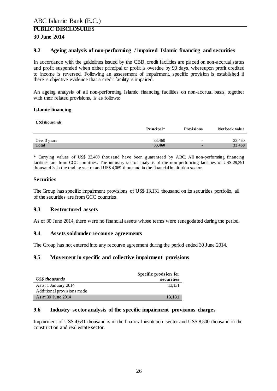#### <span id="page-25-0"></span>**9.2 Ageing analysis of non-performing / impaired Islamic financing and securities**

In accordance with the guidelines issued by the CBB, credit facilities are placed on non-accrual status and profit suspended when either principal or profit is overdue by 90 days, whereupon profit credited to income is reversed. Following an assessment of impairment, specific provision is established if there is objective evidence that a credit facility is impaired.

An ageing analysis of all non-performing Islamic financing facilities on non-accrual basis, together with their related provisions, is as follows:

#### **Islamic financing**

*US\$ thousands*

| US\$ thousanas |            |                          |                |  |  |  |  |
|----------------|------------|--------------------------|----------------|--|--|--|--|
|                | Principal* | <b>Provisions</b>        | Net book value |  |  |  |  |
|                |            |                          |                |  |  |  |  |
| Over 3 years   | 33,460     | $\overline{\phantom{0}}$ | 33.460         |  |  |  |  |
| <b>Total</b>   | 33,460     |                          | 33,460         |  |  |  |  |

\* Carrying values of US\$ 33,460 thousand have been guaranteed by ABC. All non-performing financing facilities are from GCC countries. The industry sector analysis of the non-performing facilities of US\$ 29,391 thousand is in the trading sector and US\$ 4,069 thousand in the financial institution sector.

#### **Securities**

The Group has specific impairment provisions of US\$ 13,131 thousand on its securities portfolio, all of the securities are from GCC countries.

#### <span id="page-25-1"></span>**9.3 Restructured assets**

As of 30 June 2014, there were no financial assets whose terms were renegotiated during the period.

#### <span id="page-25-2"></span>**9.4 Assets sold under recourse agreements**

The Group has not entered into any recourse agreement during the period ended 30 June 2014.

#### <span id="page-25-3"></span>**9.5 Movement in specific and collective impairment provisions**

|                            | Specific provision for |  |  |  |
|----------------------------|------------------------|--|--|--|
| US\$ thousands             | securities             |  |  |  |
| As at 1 January 2014       | 13.131                 |  |  |  |
| Additional provisions made |                        |  |  |  |
| As at 30 June 2014         | 13,131                 |  |  |  |

#### <span id="page-25-4"></span>**9.6 Industry sector analysis of the specific impairment provisions charges**

Impairment of US\$ 4,631 thousand is in the financial institution sector and US\$ 8,500 thousand in the construction and real estate sector.